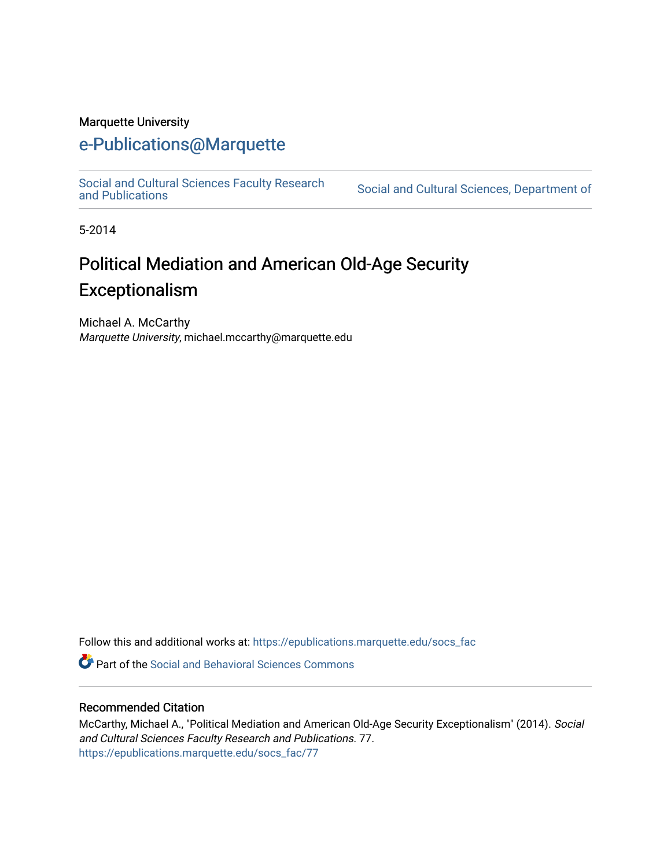#### Marquette University

### [e-Publications@Marquette](https://epublications.marquette.edu/)

[Social and Cultural Sciences Faculty Research](https://epublications.marquette.edu/socs_fac)<br>and Publications

Social and Cultural Sciences, Department of

5-2014

# Political Mediation and American Old-Age Security Exceptionalism

Michael A. McCarthy Marquette University, michael.mccarthy@marquette.edu

Follow this and additional works at: [https://epublications.marquette.edu/socs\\_fac](https://epublications.marquette.edu/socs_fac?utm_source=epublications.marquette.edu%2Fsocs_fac%2F77&utm_medium=PDF&utm_campaign=PDFCoverPages)

**C** Part of the Social and Behavioral Sciences Commons

#### Recommended Citation

McCarthy, Michael A., "Political Mediation and American Old-Age Security Exceptionalism" (2014). Social and Cultural Sciences Faculty Research and Publications. 77. [https://epublications.marquette.edu/socs\\_fac/77](https://epublications.marquette.edu/socs_fac/77?utm_source=epublications.marquette.edu%2Fsocs_fac%2F77&utm_medium=PDF&utm_campaign=PDFCoverPages)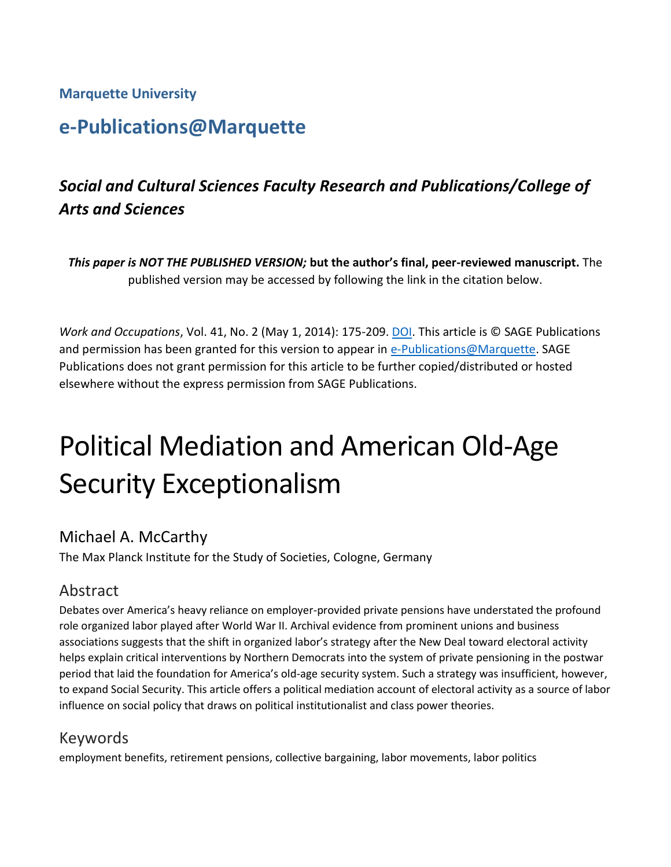### **Marquette University**

# **e-Publications@Marquette**

# *Social and Cultural Sciences Faculty Research and Publications/College of Arts and Sciences*

*This paper is NOT THE PUBLISHED VERSION;* **but the author's final, peer-reviewed manuscript.** The published version may be accessed by following the link in the citation below.

*Work and Occupations*, Vol. 41, No. 2 (May 1, 2014): 175-209[. DOI.](https://doi.org/10.1177%2F0730888413498756) This article is © SAGE Publications and permission has been granted for this version to appear in [e-Publications@Marquette.](http://epublications.marquette.edu/) SAGE Publications does not grant permission for this article to be further copied/distributed or hosted elsewhere without the express permission from SAGE Publications.

# Political Mediation and American Old-Age Security Exceptionalism

### Michael A. McCarthy

The Max Planck Institute for the Study of Societies, Cologne, Germany

### Abstract

Debates over America's heavy reliance on employer-provided private pensions have understated the profound role organized labor played after World War II. Archival evidence from prominent unions and business associations suggests that the shift in organized labor's strategy after the New Deal toward electoral activity helps explain critical interventions by Northern Democrats into the system of private pensioning in the postwar period that laid the foundation for America's old-age security system. Such a strategy was insufficient, however, to expand Social Security. This article offers a political mediation account of electoral activity as a source of labor influence on social policy that draws on political institutionalist and class power theories.

### Keywords

employment benefits, retirement pensions, collective bargaining, labor movements, labor politics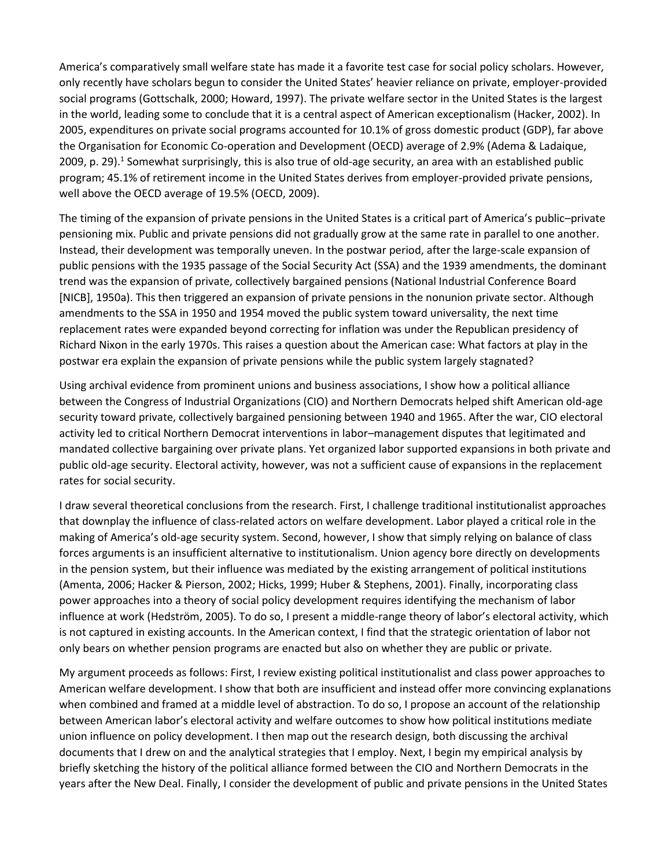America's comparatively small welfare state has made it a favorite test case for social policy scholars. However, only recently have scholars begun to consider the United States' heavier reliance on private, employer-provided social programs (Gottschalk, 2000; Howard, 1997). The private welfare sector in the United States is the largest in the world, leading some to conclude that it is a central aspect of American exceptionalism (Hacker, 2002). In 2005, expenditures on private social programs accounted for 10.1% of gross domestic product (GDP), far above the Organisation for Economic Co-operation and Development (OECD) average of 2.9% (Adema & Ladaique, 2009, p. 29).<sup>1</sup> Somewhat surprisingly, this is also true of old-age security, an area with an established public program; 45.1% of retirement income in the United States derives from employer-provided private pensions, well above the OECD average of 19.5% (OECD, 2009).

The timing of the expansion of private pensions in the United States is a critical part of America's public–private pensioning mix. Public and private pensions did not gradually grow at the same rate in parallel to one another. Instead, their development was temporally uneven. In the postwar period, after the large-scale expansion of public pensions with the 1935 passage of the Social Security Act (SSA) and the 1939 amendments, the dominant trend was the expansion of private, collectively bargained pensions (National Industrial Conference Board [NICB], 1950a). This then triggered an expansion of private pensions in the nonunion private sector. Although amendments to the SSA in 1950 and 1954 moved the public system toward universality, the next time replacement rates were expanded beyond correcting for inflation was under the Republican presidency of Richard Nixon in the early 1970s. This raises a question about the American case: What factors at play in the postwar era explain the expansion of private pensions while the public system largely stagnated?

Using archival evidence from prominent unions and business associations, I show how a political alliance between the Congress of Industrial Organizations (CIO) and Northern Democrats helped shift American old-age security toward private, collectively bargained pensioning between 1940 and 1965. After the war, CIO electoral activity led to critical Northern Democrat interventions in labor–management disputes that legitimated and mandated collective bargaining over private plans. Yet organized labor supported expansions in both private and public old-age security. Electoral activity, however, was not a sufficient cause of expansions in the replacement rates for social security.

I draw several theoretical conclusions from the research. First, I challenge traditional institutionalist approaches that downplay the influence of class-related actors on welfare development. Labor played a critical role in the making of America's old-age security system. Second, however, I show that simply relying on balance of class forces arguments is an insufficient alternative to institutionalism. Union agency bore directly on developments in the pension system, but their influence was mediated by the existing arrangement of political institutions (Amenta, 2006; Hacker & Pierson, 2002; Hicks, 1999; Huber & Stephens, 2001). Finally, incorporating class power approaches into a theory of social policy development requires identifying the mechanism of labor influence at work (Hedström, 2005). To do so, I present a middle-range theory of labor's electoral activity, which is not captured in existing accounts. In the American context, I find that the strategic orientation of labor not only bears on whether pension programs are enacted but also on whether they are public or private.

My argument proceeds as follows: First, I review existing political institutionalist and class power approaches to American welfare development. I show that both are insufficient and instead offer more convincing explanations when combined and framed at a middle level of abstraction. To do so, I propose an account of the relationship between American labor's electoral activity and welfare outcomes to show how political institutions mediate union influence on policy development. I then map out the research design, both discussing the archival documents that I drew on and the analytical strategies that I employ. Next, I begin my empirical analysis by briefly sketching the history of the political alliance formed between the CIO and Northern Democrats in the years after the New Deal. Finally, I consider the development of public and private pensions in the United States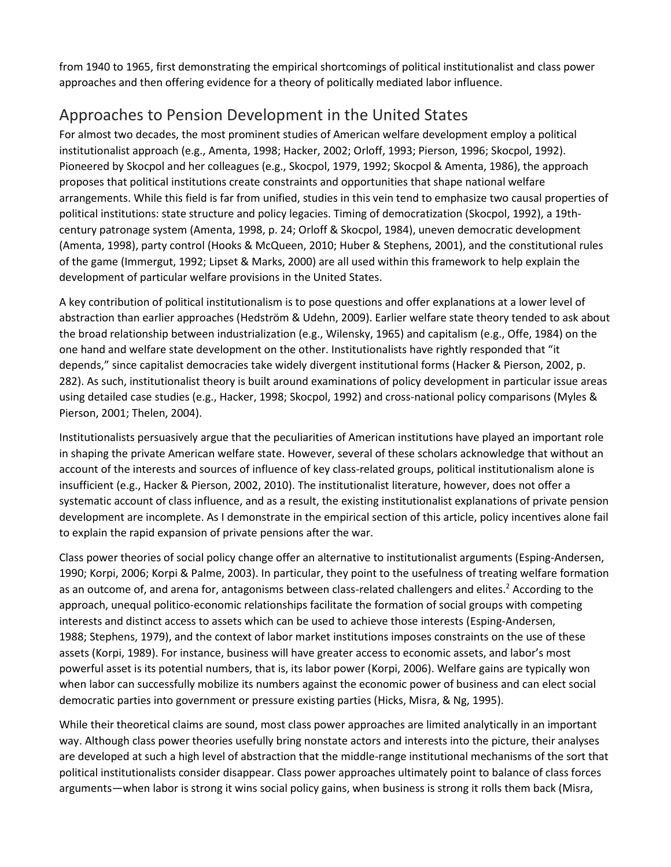from 1940 to 1965, first demonstrating the empirical shortcomings of political institutionalist and class power approaches and then offering evidence for a theory of politically mediated labor influence.

# Approaches to Pension Development in the United States

For almost two decades, the most prominent studies of American welfare development employ a political institutionalist approach (e.g., Amenta, 1998; Hacker, 2002; Orloff, 1993; Pierson, 1996; Skocpol, 1992). Pioneered by Skocpol and her colleagues (e.g., Skocpol, 1979, 1992; Skocpol & Amenta, 1986), the approach proposes that political institutions create constraints and opportunities that shape national welfare arrangements. While this field is far from unified, studies in this vein tend to emphasize two causal properties of political institutions: state structure and policy legacies. Timing of democratization (Skocpol, 1992), a 19thcentury patronage system (Amenta, 1998, p. 24; Orloff & Skocpol, 1984), uneven democratic development (Amenta, 1998), party control (Hooks & McQueen, 2010; Huber & Stephens, 2001), and the constitutional rules of the game (Immergut, 1992; Lipset & Marks, 2000) are all used within this framework to help explain the development of particular welfare provisions in the United States.

A key contribution of political institutionalism is to pose questions and offer explanations at a lower level of abstraction than earlier approaches (Hedström & Udehn, 2009). Earlier welfare state theory tended to ask about the broad relationship between industrialization (e.g., Wilensky, 1965) and capitalism (e.g., Offe, 1984) on the one hand and welfare state development on the other. Institutionalists have rightly responded that "it depends," since capitalist democracies take widely divergent institutional forms (Hacker & Pierson, 2002, p. 282). As such, institutionalist theory is built around examinations of policy development in particular issue areas using detailed case studies (e.g., Hacker, 1998; Skocpol, 1992) and cross-national policy comparisons (Myles & Pierson, 2001; Thelen, 2004).

Institutionalists persuasively argue that the peculiarities of American institutions have played an important role in shaping the private American welfare state. However, several of these scholars acknowledge that without an account of the interests and sources of influence of key class-related groups, political institutionalism alone is insufficient (e.g., Hacker & Pierson, 2002, 2010). The institutionalist literature, however, does not offer a systematic account of class influence, and as a result, the existing institutionalist explanations of private pension development are incomplete. As I demonstrate in the empirical section of this article, policy incentives alone fail to explain the rapid expansion of private pensions after the war.

Class power theories of social policy change offer an alternative to institutionalist arguments (Esping-Andersen, 1990; Korpi, 2006; Korpi & Palme, 2003). In particular, they point to the usefulness of treating welfare formation as an outcome of, and arena for, antagonisms between class-related challengers and elites.<sup>2</sup> According to the approach, unequal politico-economic relationships facilitate the formation of social groups with competing interests and distinct access to assets which can be used to achieve those interests (Esping-Andersen, 1988; Stephens, 1979), and the context of labor market institutions imposes constraints on the use of these assets (Korpi, 1989). For instance, business will have greater access to economic assets, and labor's most powerful asset is its potential numbers, that is, its labor power (Korpi, 2006). Welfare gains are typically won when labor can successfully mobilize its numbers against the economic power of business and can elect social democratic parties into government or pressure existing parties (Hicks, Misra, & Ng, 1995).

While their theoretical claims are sound, most class power approaches are limited analytically in an important way. Although class power theories usefully bring nonstate actors and interests into the picture, their analyses are developed at such a high level of abstraction that the middle-range institutional mechanisms of the sort that political institutionalists consider disappear. Class power approaches ultimately point to balance of class forces arguments—when labor is strong it wins social policy gains, when business is strong it rolls them back (Misra,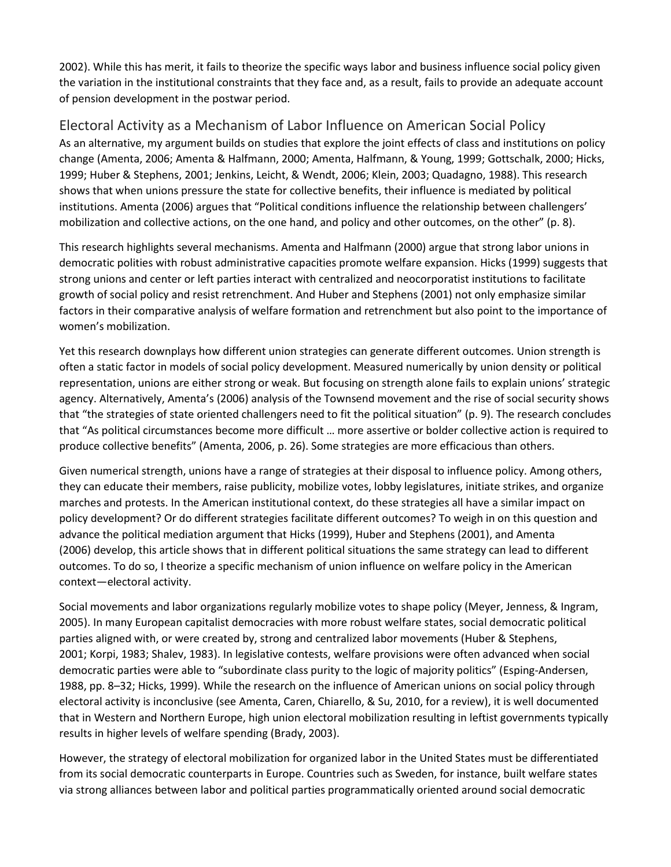2002). While this has merit, it fails to theorize the specific ways labor and business influence social policy given the variation in the institutional constraints that they face and, as a result, fails to provide an adequate account of pension development in the postwar period.

Electoral Activity as a Mechanism of Labor Influence on American Social Policy As an alternative, my argument builds on studies that explore the joint effects of class and institutions on policy change (Amenta, 2006; Amenta & Halfmann, 2000; Amenta, Halfmann, & Young, 1999; Gottschalk, 2000; Hicks, 1999; Huber & Stephens, 2001; Jenkins, Leicht, & Wendt, 2006; Klein, 2003; Quadagno, 1988). This research shows that when unions pressure the state for collective benefits, their influence is mediated by political institutions. Amenta (2006) argues that "Political conditions influence the relationship between challengers' mobilization and collective actions, on the one hand, and policy and other outcomes, on the other" (p. 8).

This research highlights several mechanisms. Amenta and Halfmann (2000) argue that strong labor unions in democratic polities with robust administrative capacities promote welfare expansion. Hicks (1999) suggests that strong unions and center or left parties interact with centralized and neocorporatist institutions to facilitate growth of social policy and resist retrenchment. And Huber and Stephens (2001) not only emphasize similar factors in their comparative analysis of welfare formation and retrenchment but also point to the importance of women's mobilization.

Yet this research downplays how different union strategies can generate different outcomes. Union strength is often a static factor in models of social policy development. Measured numerically by union density or political representation, unions are either strong or weak. But focusing on strength alone fails to explain unions' strategic agency. Alternatively, Amenta's (2006) analysis of the Townsend movement and the rise of social security shows that "the strategies of state oriented challengers need to fit the political situation" (p. 9). The research concludes that "As political circumstances become more difficult … more assertive or bolder collective action is required to produce collective benefits" (Amenta, 2006, p. 26). Some strategies are more efficacious than others.

Given numerical strength, unions have a range of strategies at their disposal to influence policy. Among others, they can educate their members, raise publicity, mobilize votes, lobby legislatures, initiate strikes, and organize marches and protests. In the American institutional context, do these strategies all have a similar impact on policy development? Or do different strategies facilitate different outcomes? To weigh in on this question and advance the political mediation argument that Hicks (1999), Huber and Stephens (2001), and Amenta (2006) develop, this article shows that in different political situations the same strategy can lead to different outcomes. To do so, I theorize a specific mechanism of union influence on welfare policy in the American context—electoral activity.

Social movements and labor organizations regularly mobilize votes to shape policy (Meyer, Jenness, & Ingram, 2005). In many European capitalist democracies with more robust welfare states, social democratic political parties aligned with, or were created by, strong and centralized labor movements (Huber & Stephens, 2001; Korpi, 1983; Shalev, 1983). In legislative contests, welfare provisions were often advanced when social democratic parties were able to "subordinate class purity to the logic of majority politics" (Esping-Andersen, 1988, pp. 8–32; Hicks, 1999). While the research on the influence of American unions on social policy through electoral activity is inconclusive (see Amenta, Caren, Chiarello, & Su, 2010, for a review), it is well documented that in Western and Northern Europe, high union electoral mobilization resulting in leftist governments typically results in higher levels of welfare spending (Brady, 2003).

However, the strategy of electoral mobilization for organized labor in the United States must be differentiated from its social democratic counterparts in Europe. Countries such as Sweden, for instance, built welfare states via strong alliances between labor and political parties programmatically oriented around social democratic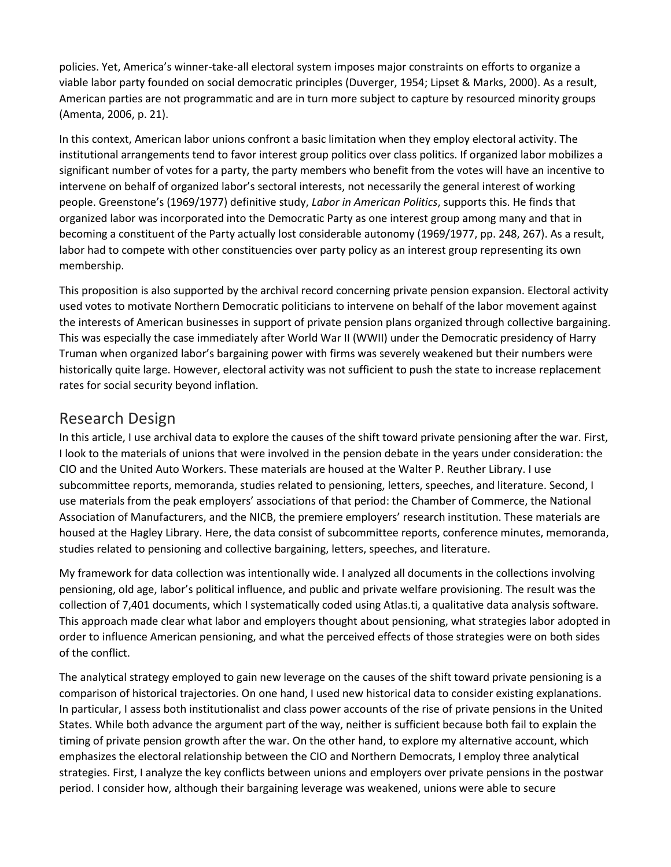policies. Yet, America's winner-take-all electoral system imposes major constraints on efforts to organize a viable labor party founded on social democratic principles (Duverger, 1954; Lipset & Marks, 2000). As a result, American parties are not programmatic and are in turn more subject to capture by resourced minority groups (Amenta, 2006, p. 21).

In this context, American labor unions confront a basic limitation when they employ electoral activity. The institutional arrangements tend to favor interest group politics over class politics. If organized labor mobilizes a significant number of votes for a party, the party members who benefit from the votes will have an incentive to intervene on behalf of organized labor's sectoral interests, not necessarily the general interest of working people. Greenstone's (1969/1977) definitive study, *Labor in American Politics*, supports this. He finds that organized labor was incorporated into the Democratic Party as one interest group among many and that in becoming a constituent of the Party actually lost considerable autonomy (1969/1977, pp. 248, 267). As a result, labor had to compete with other constituencies over party policy as an interest group representing its own membership.

This proposition is also supported by the archival record concerning private pension expansion. Electoral activity used votes to motivate Northern Democratic politicians to intervene on behalf of the labor movement against the interests of American businesses in support of private pension plans organized through collective bargaining. This was especially the case immediately after World War II (WWII) under the Democratic presidency of Harry Truman when organized labor's bargaining power with firms was severely weakened but their numbers were historically quite large. However, electoral activity was not sufficient to push the state to increase replacement rates for social security beyond inflation.

### Research Design

In this article, I use archival data to explore the causes of the shift toward private pensioning after the war. First, I look to the materials of unions that were involved in the pension debate in the years under consideration: the CIO and the United Auto Workers. These materials are housed at the Walter P. Reuther Library. I use subcommittee reports, memoranda, studies related to pensioning, letters, speeches, and literature. Second, I use materials from the peak employers' associations of that period: the Chamber of Commerce, the National Association of Manufacturers, and the NICB, the premiere employers' research institution. These materials are housed at the Hagley Library. Here, the data consist of subcommittee reports, conference minutes, memoranda, studies related to pensioning and collective bargaining, letters, speeches, and literature.

My framework for data collection was intentionally wide. I analyzed all documents in the collections involving pensioning, old age, labor's political influence, and public and private welfare provisioning. The result was the collection of 7,401 documents, which I systematically coded using Atlas.ti, a qualitative data analysis software. This approach made clear what labor and employers thought about pensioning, what strategies labor adopted in order to influence American pensioning, and what the perceived effects of those strategies were on both sides of the conflict.

The analytical strategy employed to gain new leverage on the causes of the shift toward private pensioning is a comparison of historical trajectories. On one hand, I used new historical data to consider existing explanations. In particular, I assess both institutionalist and class power accounts of the rise of private pensions in the United States. While both advance the argument part of the way, neither is sufficient because both fail to explain the timing of private pension growth after the war. On the other hand, to explore my alternative account, which emphasizes the electoral relationship between the CIO and Northern Democrats, I employ three analytical strategies. First, I analyze the key conflicts between unions and employers over private pensions in the postwar period. I consider how, although their bargaining leverage was weakened, unions were able to secure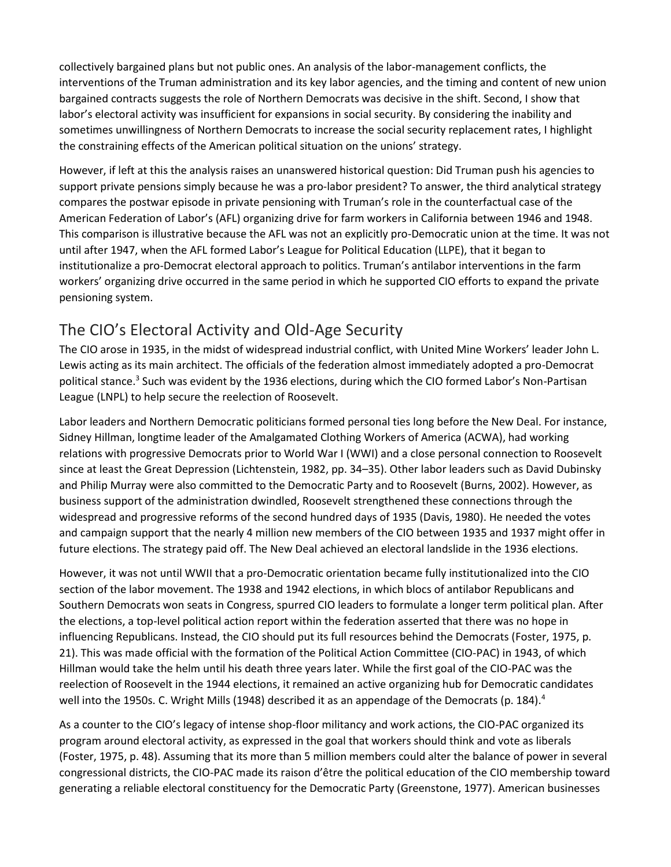collectively bargained plans but not public ones. An analysis of the labor-management conflicts, the interventions of the Truman administration and its key labor agencies, and the timing and content of new union bargained contracts suggests the role of Northern Democrats was decisive in the shift. Second, I show that labor's electoral activity was insufficient for expansions in social security. By considering the inability and sometimes unwillingness of Northern Democrats to increase the social security replacement rates, I highlight the constraining effects of the American political situation on the unions' strategy.

However, if left at this the analysis raises an unanswered historical question: Did Truman push his agencies to support private pensions simply because he was a pro-labor president? To answer, the third analytical strategy compares the postwar episode in private pensioning with Truman's role in the counterfactual case of the American Federation of Labor's (AFL) organizing drive for farm workers in California between 1946 and 1948. This comparison is illustrative because the AFL was not an explicitly pro-Democratic union at the time. It was not until after 1947, when the AFL formed Labor's League for Political Education (LLPE), that it began to institutionalize a pro-Democrat electoral approach to politics. Truman's antilabor interventions in the farm workers' organizing drive occurred in the same period in which he supported CIO efforts to expand the private pensioning system.

# The CIO's Electoral Activity and Old-Age Security

The CIO arose in 1935, in the midst of widespread industrial conflict, with United Mine Workers' leader John L. Lewis acting as its main architect. The officials of the federation almost immediately adopted a pro-Democrat political stance.<sup>3</sup> Such was evident by the 1936 elections, during which the CIO formed Labor's Non-Partisan League (LNPL) to help secure the reelection of Roosevelt.

Labor leaders and Northern Democratic politicians formed personal ties long before the New Deal. For instance, Sidney Hillman, longtime leader of the Amalgamated Clothing Workers of America (ACWA), had working relations with progressive Democrats prior to World War I (WWI) and a close personal connection to Roosevelt since at least the Great Depression (Lichtenstein, 1982, pp. 34–35). Other labor leaders such as David Dubinsky and Philip Murray were also committed to the Democratic Party and to Roosevelt (Burns, 2002). However, as business support of the administration dwindled, Roosevelt strengthened these connections through the widespread and progressive reforms of the second hundred days of 1935 (Davis, 1980). He needed the votes and campaign support that the nearly 4 million new members of the CIO between 1935 and 1937 might offer in future elections. The strategy paid off. The New Deal achieved an electoral landslide in the 1936 elections.

However, it was not until WWII that a pro-Democratic orientation became fully institutionalized into the CIO section of the labor movement. The 1938 and 1942 elections, in which blocs of antilabor Republicans and Southern Democrats won seats in Congress, spurred CIO leaders to formulate a longer term political plan. After the elections, a top-level political action report within the federation asserted that there was no hope in influencing Republicans. Instead, the CIO should put its full resources behind the Democrats (Foster, 1975, p. 21). This was made official with the formation of the Political Action Committee (CIO-PAC) in 1943, of which Hillman would take the helm until his death three years later. While the first goal of the CIO-PAC was the reelection of Roosevelt in the 1944 elections, it remained an active organizing hub for Democratic candidates well into the 1950s. C. Wright Mills (1948) described it as an appendage of the Democrats (p. 184).<sup>4</sup>

As a counter to the CIO's legacy of intense shop-floor militancy and work actions, the CIO-PAC organized its program around electoral activity, as expressed in the goal that workers should think and vote as liberals (Foster, 1975, p. 48). Assuming that its more than 5 million members could alter the balance of power in several congressional districts, the CIO-PAC made its raison d'être the political education of the CIO membership toward generating a reliable electoral constituency for the Democratic Party (Greenstone, 1977). American businesses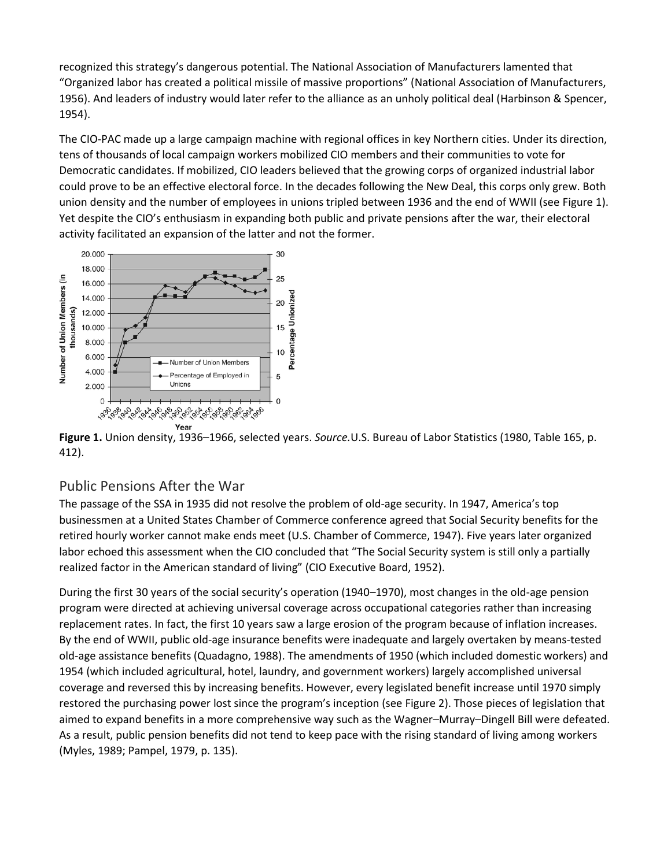recognized this strategy's dangerous potential. The National Association of Manufacturers lamented that "Organized labor has created a political missile of massive proportions" (National Association of Manufacturers, 1956). And leaders of industry would later refer to the alliance as an unholy political deal (Harbinson & Spencer, 1954).

The CIO-PAC made up a large campaign machine with regional offices in key Northern cities. Under its direction, tens of thousands of local campaign workers mobilized CIO members and their communities to vote for Democratic candidates. If mobilized, CIO leaders believed that the growing corps of organized industrial labor could prove to be an effective electoral force. In the decades following the New Deal, this corps only grew. Both union density and the number of employees in unions tripled between 1936 and the end of WWII (see Figure 1). Yet despite the CIO's enthusiasm in expanding both public and private pensions after the war, their electoral activity facilitated an expansion of the latter and not the former.



**Figure 1.** Union density, 1936–1966, selected years. *Source.*U.S. Bureau of Labor Statistics (1980, Table 165, p. 412).

#### Public Pensions After the War

The passage of the SSA in 1935 did not resolve the problem of old-age security. In 1947, America's top businessmen at a United States Chamber of Commerce conference agreed that Social Security benefits for the retired hourly worker cannot make ends meet (U.S. Chamber of Commerce, 1947). Five years later organized labor echoed this assessment when the CIO concluded that "The Social Security system is still only a partially realized factor in the American standard of living" (CIO Executive Board, 1952).

During the first 30 years of the social security's operation (1940–1970), most changes in the old-age pension program were directed at achieving universal coverage across occupational categories rather than increasing replacement rates. In fact, the first 10 years saw a large erosion of the program because of inflation increases. By the end of WWII, public old-age insurance benefits were inadequate and largely overtaken by means-tested old-age assistance benefits (Quadagno, 1988). The amendments of 1950 (which included domestic workers) and 1954 (which included agricultural, hotel, laundry, and government workers) largely accomplished universal coverage and reversed this by increasing benefits. However, every legislated benefit increase until 1970 simply restored the purchasing power lost since the program's inception (see Figure 2). Those pieces of legislation that aimed to expand benefits in a more comprehensive way such as the Wagner–Murray–Dingell Bill were defeated. As a result, public pension benefits did not tend to keep pace with the rising standard of living among workers (Myles, 1989; Pampel, 1979, p. 135).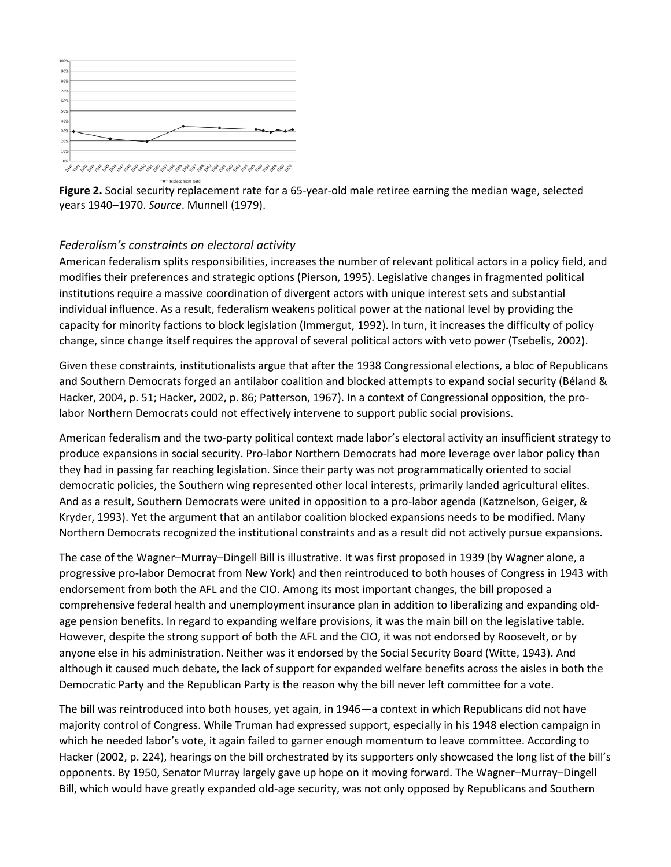



#### *Federalism's constraints on electoral activity*

American federalism splits responsibilities, increases the number of relevant political actors in a policy field, and modifies their preferences and strategic options (Pierson, 1995). Legislative changes in fragmented political institutions require a massive coordination of divergent actors with unique interest sets and substantial individual influence. As a result, federalism weakens political power at the national level by providing the capacity for minority factions to block legislation (Immergut, 1992). In turn, it increases the difficulty of policy change, since change itself requires the approval of several political actors with veto power (Tsebelis, 2002).

Given these constraints, institutionalists argue that after the 1938 Congressional elections, a bloc of Republicans and Southern Democrats forged an antilabor coalition and blocked attempts to expand social security (Béland & Hacker, 2004, p. 51; Hacker, 2002, p. 86; Patterson, 1967). In a context of Congressional opposition, the prolabor Northern Democrats could not effectively intervene to support public social provisions.

American federalism and the two-party political context made labor's electoral activity an insufficient strategy to produce expansions in social security. Pro-labor Northern Democrats had more leverage over labor policy than they had in passing far reaching legislation. Since their party was not programmatically oriented to social democratic policies, the Southern wing represented other local interests, primarily landed agricultural elites. And as a result, Southern Democrats were united in opposition to a pro-labor agenda (Katznelson, Geiger, & Kryder, 1993). Yet the argument that an antilabor coalition blocked expansions needs to be modified. Many Northern Democrats recognized the institutional constraints and as a result did not actively pursue expansions.

The case of the Wagner–Murray–Dingell Bill is illustrative. It was first proposed in 1939 (by Wagner alone, a progressive pro-labor Democrat from New York) and then reintroduced to both houses of Congress in 1943 with endorsement from both the AFL and the CIO. Among its most important changes, the bill proposed a comprehensive federal health and unemployment insurance plan in addition to liberalizing and expanding oldage pension benefits. In regard to expanding welfare provisions, it was the main bill on the legislative table. However, despite the strong support of both the AFL and the CIO, it was not endorsed by Roosevelt, or by anyone else in his administration. Neither was it endorsed by the Social Security Board (Witte, 1943). And although it caused much debate, the lack of support for expanded welfare benefits across the aisles in both the Democratic Party and the Republican Party is the reason why the bill never left committee for a vote.

The bill was reintroduced into both houses, yet again, in 1946—a context in which Republicans did not have majority control of Congress. While Truman had expressed support, especially in his 1948 election campaign in which he needed labor's vote, it again failed to garner enough momentum to leave committee. According to Hacker (2002, p. 224), hearings on the bill orchestrated by its supporters only showcased the long list of the bill's opponents. By 1950, Senator Murray largely gave up hope on it moving forward. The Wagner–Murray–Dingell Bill, which would have greatly expanded old-age security, was not only opposed by Republicans and Southern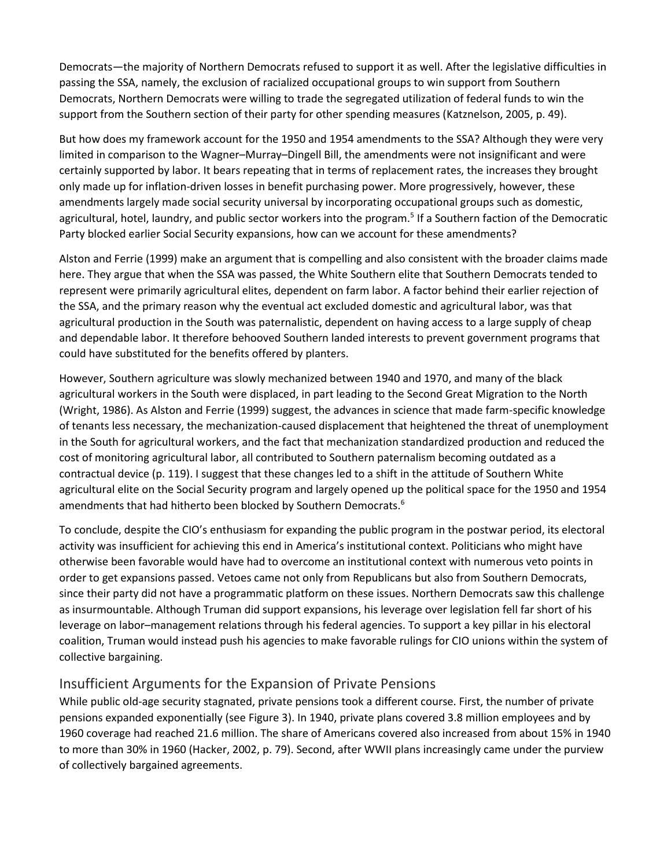Democrats—the majority of Northern Democrats refused to support it as well. After the legislative difficulties in passing the SSA, namely, the exclusion of racialized occupational groups to win support from Southern Democrats, Northern Democrats were willing to trade the segregated utilization of federal funds to win the support from the Southern section of their party for other spending measures (Katznelson, 2005, p. 49).

But how does my framework account for the 1950 and 1954 amendments to the SSA? Although they were very limited in comparison to the Wagner–Murray–Dingell Bill, the amendments were not insignificant and were certainly supported by labor. It bears repeating that in terms of replacement rates, the increases they brought only made up for inflation-driven losses in benefit purchasing power. More progressively, however, these amendments largely made social security universal by incorporating occupational groups such as domestic, agricultural, hotel, laundry, and public sector workers into the program.<sup>5</sup> If a Southern faction of the Democratic Party blocked earlier Social Security expansions, how can we account for these amendments?

Alston and Ferrie (1999) make an argument that is compelling and also consistent with the broader claims made here. They argue that when the SSA was passed, the White Southern elite that Southern Democrats tended to represent were primarily agricultural elites, dependent on farm labor. A factor behind their earlier rejection of the SSA, and the primary reason why the eventual act excluded domestic and agricultural labor, was that agricultural production in the South was paternalistic, dependent on having access to a large supply of cheap and dependable labor. It therefore behooved Southern landed interests to prevent government programs that could have substituted for the benefits offered by planters.

However, Southern agriculture was slowly mechanized between 1940 and 1970, and many of the black agricultural workers in the South were displaced, in part leading to the Second Great Migration to the North (Wright, 1986). As Alston and Ferrie (1999) suggest, the advances in science that made farm-specific knowledge of tenants less necessary, the mechanization-caused displacement that heightened the threat of unemployment in the South for agricultural workers, and the fact that mechanization standardized production and reduced the cost of monitoring agricultural labor, all contributed to Southern paternalism becoming outdated as a contractual device (p. 119). I suggest that these changes led to a shift in the attitude of Southern White agricultural elite on the Social Security program and largely opened up the political space for the 1950 and 1954 amendments that had hitherto been blocked by Southern Democrats.<sup>6</sup>

To conclude, despite the CIO's enthusiasm for expanding the public program in the postwar period, its electoral activity was insufficient for achieving this end in America's institutional context. Politicians who might have otherwise been favorable would have had to overcome an institutional context with numerous veto points in order to get expansions passed. Vetoes came not only from Republicans but also from Southern Democrats, since their party did not have a programmatic platform on these issues. Northern Democrats saw this challenge as insurmountable. Although Truman did support expansions, his leverage over legislation fell far short of his leverage on labor–management relations through his federal agencies. To support a key pillar in his electoral coalition, Truman would instead push his agencies to make favorable rulings for CIO unions within the system of collective bargaining.

#### Insufficient Arguments for the Expansion of Private Pensions

While public old-age security stagnated, private pensions took a different course. First, the number of private pensions expanded exponentially (see Figure 3). In 1940, private plans covered 3.8 million employees and by 1960 coverage had reached 21.6 million. The share of Americans covered also increased from about 15% in 1940 to more than 30% in 1960 (Hacker, 2002, p. 79). Second, after WWII plans increasingly came under the purview of collectively bargained agreements.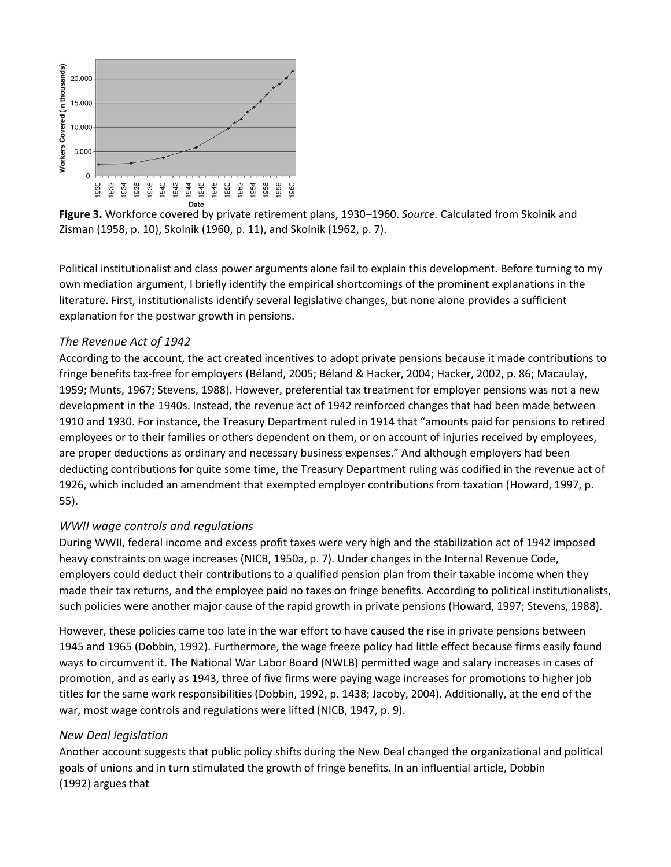

**Figure 3.** Workforce covered by private retirement plans, 1930–1960. *Source.* Calculated from Skolnik and Zisman (1958, p. 10), Skolnik (1960, p. 11), and Skolnik (1962, p. 7).

Political institutionalist and class power arguments alone fail to explain this development. Before turning to my own mediation argument, I briefly identify the empirical shortcomings of the prominent explanations in the literature. First, institutionalists identify several legislative changes, but none alone provides a sufficient explanation for the postwar growth in pensions.

#### *The Revenue Act of 1942*

According to the account, the act created incentives to adopt private pensions because it made contributions to fringe benefits tax-free for employers (Béland, 2005; Béland & Hacker, 2004; Hacker, 2002, p. 86; Macaulay, 1959; Munts, 1967; Stevens, 1988). However, preferential tax treatment for employer pensions was not a new development in the 1940s. Instead, the revenue act of 1942 reinforced changes that had been made between 1910 and 1930. For instance, the Treasury Department ruled in 1914 that "amounts paid for pensions to retired employees or to their families or others dependent on them, or on account of injuries received by employees, are proper deductions as ordinary and necessary business expenses." And although employers had been deducting contributions for quite some time, the Treasury Department ruling was codified in the revenue act of 1926, which included an amendment that exempted employer contributions from taxation (Howard, 1997, p. 55).

#### *WWII wage controls and regulations*

During WWII, federal income and excess profit taxes were very high and the stabilization act of 1942 imposed heavy constraints on wage increases (NICB, 1950a, p. 7). Under changes in the Internal Revenue Code, employers could deduct their contributions to a qualified pension plan from their taxable income when they made their tax returns, and the employee paid no taxes on fringe benefits. According to political institutionalists, such policies were another major cause of the rapid growth in private pensions (Howard, 1997; Stevens, 1988).

However, these policies came too late in the war effort to have caused the rise in private pensions between 1945 and 1965 (Dobbin, 1992). Furthermore, the wage freeze policy had little effect because firms easily found ways to circumvent it. The National War Labor Board (NWLB) permitted wage and salary increases in cases of promotion, and as early as 1943, three of five firms were paying wage increases for promotions to higher job titles for the same work responsibilities (Dobbin, 1992, p. 1438; Jacoby, 2004). Additionally, at the end of the war, most wage controls and regulations were lifted (NICB, 1947, p. 9).

#### *New Deal legislation*

Another account suggests that public policy shifts during the New Deal changed the organizational and political goals of unions and in turn stimulated the growth of fringe benefits. In an influential article, Dobbin (1992) argues that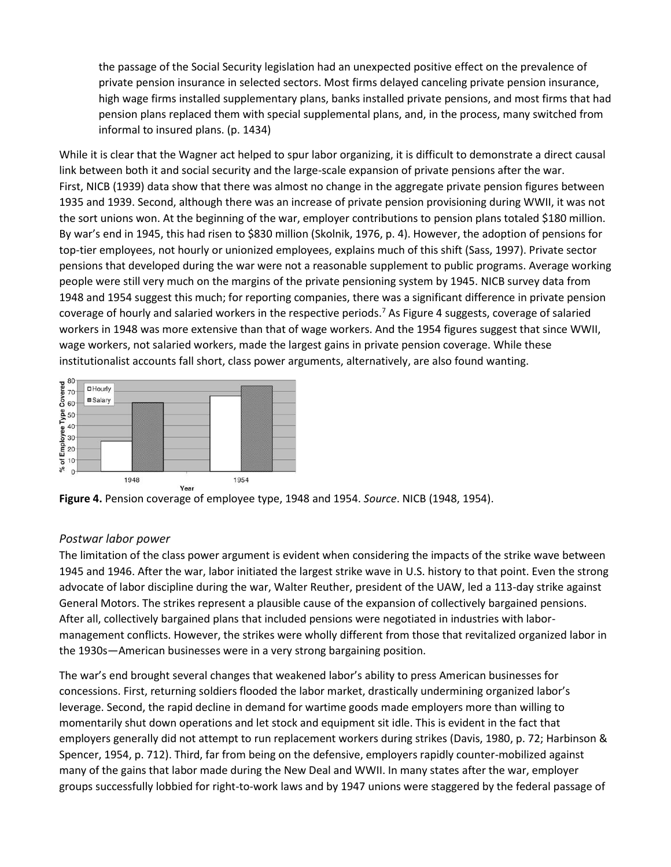the passage of the Social Security legislation had an unexpected positive effect on the prevalence of private pension insurance in selected sectors. Most firms delayed canceling private pension insurance, high wage firms installed supplementary plans, banks installed private pensions, and most firms that had pension plans replaced them with special supplemental plans, and, in the process, many switched from informal to insured plans. (p. 1434)

While it is clear that the Wagner act helped to spur labor organizing, it is difficult to demonstrate a direct causal link between both it and social security and the large-scale expansion of private pensions after the war. First, NICB (1939) data show that there was almost no change in the aggregate private pension figures between 1935 and 1939. Second, although there was an increase of private pension provisioning during WWII, it was not the sort unions won. At the beginning of the war, employer contributions to pension plans totaled \$180 million. By war's end in 1945, this had risen to \$830 million (Skolnik, 1976, p. 4). However, the adoption of pensions for top-tier employees, not hourly or unionized employees, explains much of this shift (Sass, 1997). Private sector pensions that developed during the war were not a reasonable supplement to public programs. Average working people were still very much on the margins of the private pensioning system by 1945. NICB survey data from 1948 and 1954 suggest this much; for reporting companies, there was a significant difference in private pension coverage of hourly and salaried workers in the respective periods.<sup>7</sup> As Figure 4 suggests, coverage of salaried workers in 1948 was more extensive than that of wage workers. And the 1954 figures suggest that since WWII, wage workers, not salaried workers, made the largest gains in private pension coverage. While these institutionalist accounts fall short, class power arguments, alternatively, are also found wanting.



**Figure 4.** Pension coverage of employee type, 1948 and 1954. *Source*. NICB (1948, 1954).

#### *Postwar labor power*

The limitation of the class power argument is evident when considering the impacts of the strike wave between 1945 and 1946. After the war, labor initiated the largest strike wave in U.S. history to that point. Even the strong advocate of labor discipline during the war, Walter Reuther, president of the UAW, led a 113-day strike against General Motors. The strikes represent a plausible cause of the expansion of collectively bargained pensions. After all, collectively bargained plans that included pensions were negotiated in industries with labormanagement conflicts. However, the strikes were wholly different from those that revitalized organized labor in the 1930s—American businesses were in a very strong bargaining position.

The war's end brought several changes that weakened labor's ability to press American businesses for concessions. First, returning soldiers flooded the labor market, drastically undermining organized labor's leverage. Second, the rapid decline in demand for wartime goods made employers more than willing to momentarily shut down operations and let stock and equipment sit idle. This is evident in the fact that employers generally did not attempt to run replacement workers during strikes (Davis, 1980, p. 72; Harbinson & Spencer, 1954, p. 712). Third, far from being on the defensive, employers rapidly counter-mobilized against many of the gains that labor made during the New Deal and WWII. In many states after the war, employer groups successfully lobbied for right-to-work laws and by 1947 unions were staggered by the federal passage of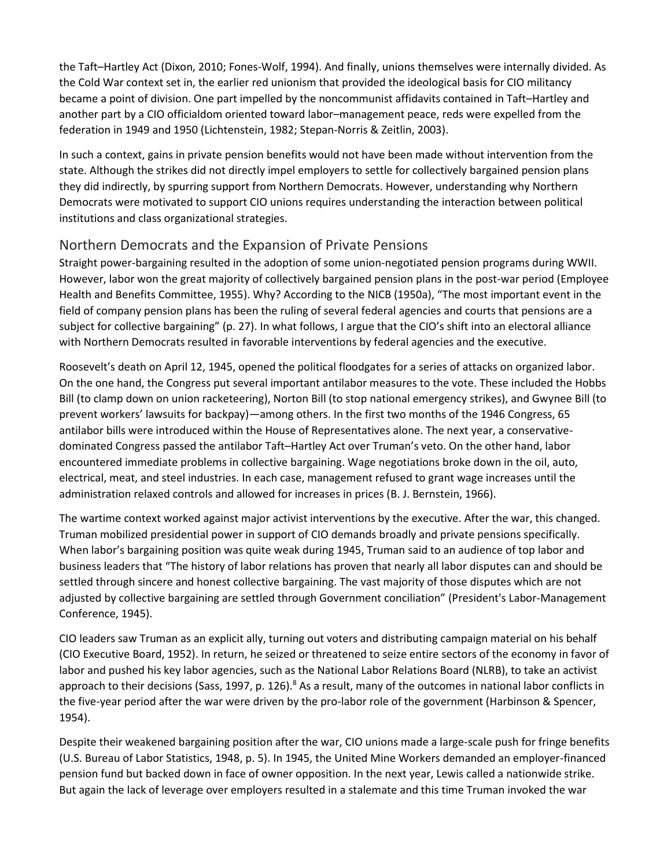the Taft–Hartley Act (Dixon, 2010; Fones-Wolf, 1994). And finally, unions themselves were internally divided. As the Cold War context set in, the earlier red unionism that provided the ideological basis for CIO militancy became a point of division. One part impelled by the noncommunist affidavits contained in Taft–Hartley and another part by a CIO officialdom oriented toward labor–management peace, reds were expelled from the federation in 1949 and 1950 (Lichtenstein, 1982; Stepan-Norris & Zeitlin, 2003).

In such a context, gains in private pension benefits would not have been made without intervention from the state. Although the strikes did not directly impel employers to settle for collectively bargained pension plans they did indirectly, by spurring support from Northern Democrats. However, understanding why Northern Democrats were motivated to support CIO unions requires understanding the interaction between political institutions and class organizational strategies.

#### Northern Democrats and the Expansion of Private Pensions

Straight power-bargaining resulted in the adoption of some union-negotiated pension programs during WWII. However, labor won the great majority of collectively bargained pension plans in the post-war period (Employee Health and Benefits Committee, 1955). Why? According to the NICB (1950a), "The most important event in the field of company pension plans has been the ruling of several federal agencies and courts that pensions are a subject for collective bargaining" (p. 27). In what follows, I argue that the CIO's shift into an electoral alliance with Northern Democrats resulted in favorable interventions by federal agencies and the executive.

Roosevelt's death on April 12, 1945, opened the political floodgates for a series of attacks on organized labor. On the one hand, the Congress put several important antilabor measures to the vote. These included the Hobbs Bill (to clamp down on union racketeering), Norton Bill (to stop national emergency strikes), and Gwynee Bill (to prevent workers' lawsuits for backpay)—among others. In the first two months of the 1946 Congress, 65 antilabor bills were introduced within the House of Representatives alone. The next year, a conservativedominated Congress passed the antilabor Taft–Hartley Act over Truman's veto. On the other hand, labor encountered immediate problems in collective bargaining. Wage negotiations broke down in the oil, auto, electrical, meat, and steel industries. In each case, management refused to grant wage increases until the administration relaxed controls and allowed for increases in prices (B. J. Bernstein, 1966).

The wartime context worked against major activist interventions by the executive. After the war, this changed. Truman mobilized presidential power in support of CIO demands broadly and private pensions specifically. When labor's bargaining position was quite weak during 1945, Truman said to an audience of top labor and business leaders that "The history of labor relations has proven that nearly all labor disputes can and should be settled through sincere and honest collective bargaining. The vast majority of those disputes which are not adjusted by collective bargaining are settled through Government conciliation" (President's Labor-Management Conference, 1945).

CIO leaders saw Truman as an explicit ally, turning out voters and distributing campaign material on his behalf (CIO Executive Board, 1952). In return, he seized or threatened to seize entire sectors of the economy in favor of labor and pushed his key labor agencies, such as the National Labor Relations Board (NLRB), to take an activist approach to their decisions (Sass, 1997, p. 126).<sup>8</sup> As a result, many of the outcomes in national labor conflicts in the five-year period after the war were driven by the pro-labor role of the government (Harbinson & Spencer, 1954).

Despite their weakened bargaining position after the war, CIO unions made a large-scale push for fringe benefits (U.S. Bureau of Labor Statistics, 1948, p. 5). In 1945, the United Mine Workers demanded an employer-financed pension fund but backed down in face of owner opposition. In the next year, Lewis called a nationwide strike. But again the lack of leverage over employers resulted in a stalemate and this time Truman invoked the war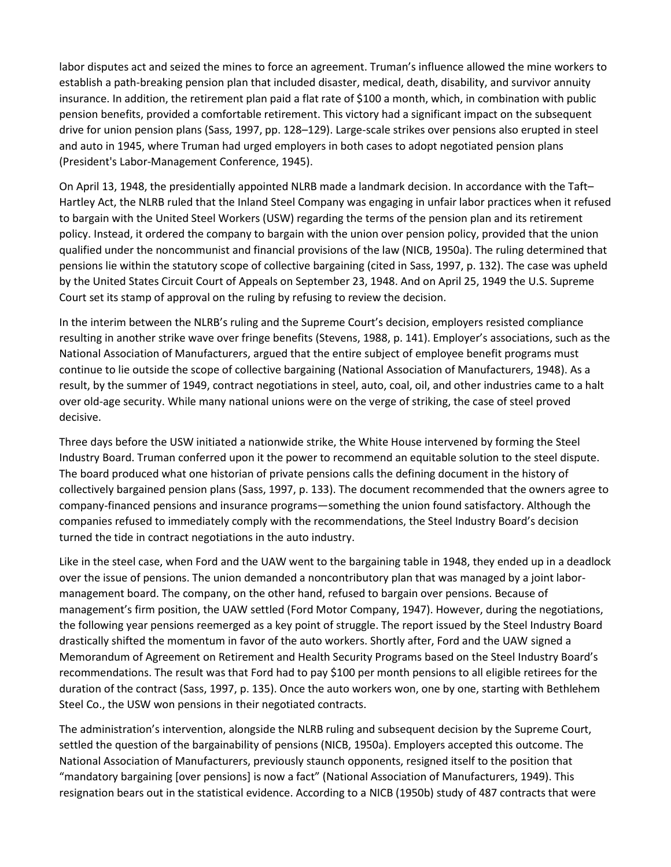labor disputes act and seized the mines to force an agreement. Truman's influence allowed the mine workers to establish a path-breaking pension plan that included disaster, medical, death, disability, and survivor annuity insurance. In addition, the retirement plan paid a flat rate of \$100 a month, which, in combination with public pension benefits, provided a comfortable retirement. This victory had a significant impact on the subsequent drive for union pension plans (Sass, 1997, pp. 128–129). Large-scale strikes over pensions also erupted in steel and auto in 1945, where Truman had urged employers in both cases to adopt negotiated pension plans (President's Labor-Management Conference, 1945).

On April 13, 1948, the presidentially appointed NLRB made a landmark decision. In accordance with the Taft– Hartley Act, the NLRB ruled that the Inland Steel Company was engaging in unfair labor practices when it refused to bargain with the United Steel Workers (USW) regarding the terms of the pension plan and its retirement policy. Instead, it ordered the company to bargain with the union over pension policy, provided that the union qualified under the noncommunist and financial provisions of the law (NICB, 1950a). The ruling determined that pensions lie within the statutory scope of collective bargaining (cited in Sass, 1997, p. 132). The case was upheld by the United States Circuit Court of Appeals on September 23, 1948. And on April 25, 1949 the U.S. Supreme Court set its stamp of approval on the ruling by refusing to review the decision.

In the interim between the NLRB's ruling and the Supreme Court's decision, employers resisted compliance resulting in another strike wave over fringe benefits (Stevens, 1988, p. 141). Employer's associations, such as the National Association of Manufacturers, argued that the entire subject of employee benefit programs must continue to lie outside the scope of collective bargaining (National Association of Manufacturers, 1948). As a result, by the summer of 1949, contract negotiations in steel, auto, coal, oil, and other industries came to a halt over old-age security. While many national unions were on the verge of striking, the case of steel proved decisive.

Three days before the USW initiated a nationwide strike, the White House intervened by forming the Steel Industry Board. Truman conferred upon it the power to recommend an equitable solution to the steel dispute. The board produced what one historian of private pensions calls the defining document in the history of collectively bargained pension plans (Sass, 1997, p. 133). The document recommended that the owners agree to company-financed pensions and insurance programs—something the union found satisfactory. Although the companies refused to immediately comply with the recommendations, the Steel Industry Board's decision turned the tide in contract negotiations in the auto industry.

Like in the steel case, when Ford and the UAW went to the bargaining table in 1948, they ended up in a deadlock over the issue of pensions. The union demanded a noncontributory plan that was managed by a joint labormanagement board. The company, on the other hand, refused to bargain over pensions. Because of management's firm position, the UAW settled (Ford Motor Company, 1947). However, during the negotiations, the following year pensions reemerged as a key point of struggle. The report issued by the Steel Industry Board drastically shifted the momentum in favor of the auto workers. Shortly after, Ford and the UAW signed a Memorandum of Agreement on Retirement and Health Security Programs based on the Steel Industry Board's recommendations. The result was that Ford had to pay \$100 per month pensions to all eligible retirees for the duration of the contract (Sass, 1997, p. 135). Once the auto workers won, one by one, starting with Bethlehem Steel Co., the USW won pensions in their negotiated contracts.

The administration's intervention, alongside the NLRB ruling and subsequent decision by the Supreme Court, settled the question of the bargainability of pensions (NICB, 1950a). Employers accepted this outcome. The National Association of Manufacturers, previously staunch opponents, resigned itself to the position that "mandatory bargaining [over pensions] is now a fact" (National Association of Manufacturers, 1949). This resignation bears out in the statistical evidence. According to a NICB (1950b) study of 487 contracts that were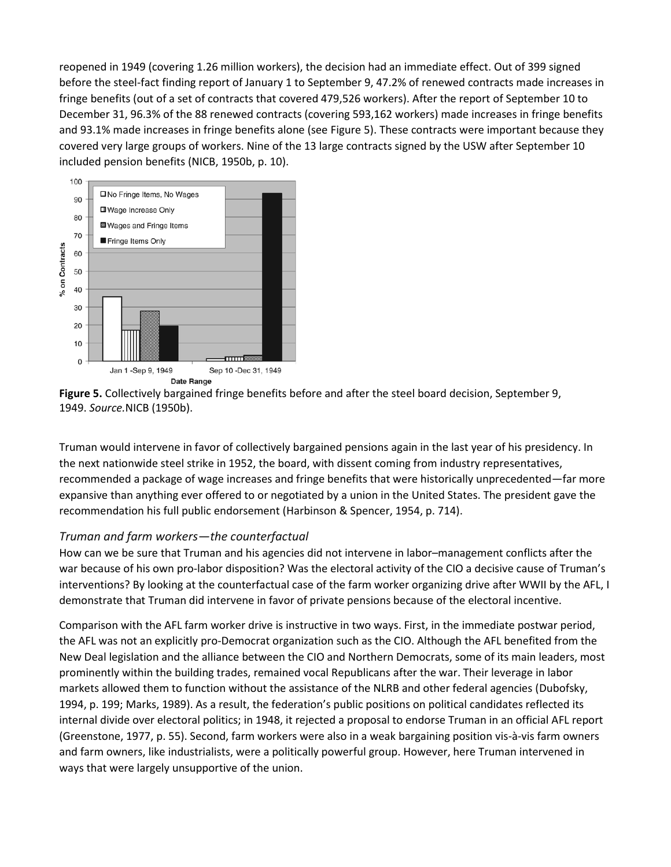reopened in 1949 (covering 1.26 million workers), the decision had an immediate effect. Out of 399 signed before the steel-fact finding report of January 1 to September 9, 47.2% of renewed contracts made increases in fringe benefits (out of a set of contracts that covered 479,526 workers). After the report of September 10 to December 31, 96.3% of the 88 renewed contracts (covering 593,162 workers) made increases in fringe benefits and 93.1% made increases in fringe benefits alone (see Figure 5). These contracts were important because they covered very large groups of workers. Nine of the 13 large contracts signed by the USW after September 10 included pension benefits (NICB, 1950b, p. 10).





Truman would intervene in favor of collectively bargained pensions again in the last year of his presidency. In the next nationwide steel strike in 1952, the board, with dissent coming from industry representatives, recommended a package of wage increases and fringe benefits that were historically unprecedented—far more expansive than anything ever offered to or negotiated by a union in the United States. The president gave the recommendation his full public endorsement (Harbinson & Spencer, 1954, p. 714).

#### *Truman and farm workers—the counterfactual*

How can we be sure that Truman and his agencies did not intervene in labor–management conflicts after the war because of his own pro-labor disposition? Was the electoral activity of the CIO a decisive cause of Truman's interventions? By looking at the counterfactual case of the farm worker organizing drive after WWII by the AFL, I demonstrate that Truman did intervene in favor of private pensions because of the electoral incentive.

Comparison with the AFL farm worker drive is instructive in two ways. First, in the immediate postwar period, the AFL was not an explicitly pro-Democrat organization such as the CIO. Although the AFL benefited from the New Deal legislation and the alliance between the CIO and Northern Democrats, some of its main leaders, most prominently within the building trades, remained vocal Republicans after the war. Their leverage in labor markets allowed them to function without the assistance of the NLRB and other federal agencies (Dubofsky, 1994, p. 199; Marks, 1989). As a result, the federation's public positions on political candidates reflected its internal divide over electoral politics; in 1948, it rejected a proposal to endorse Truman in an official AFL report (Greenstone, 1977, p. 55). Second, farm workers were also in a weak bargaining position vis-à-vis farm owners and farm owners, like industrialists, were a politically powerful group. However, here Truman intervened in ways that were largely unsupportive of the union.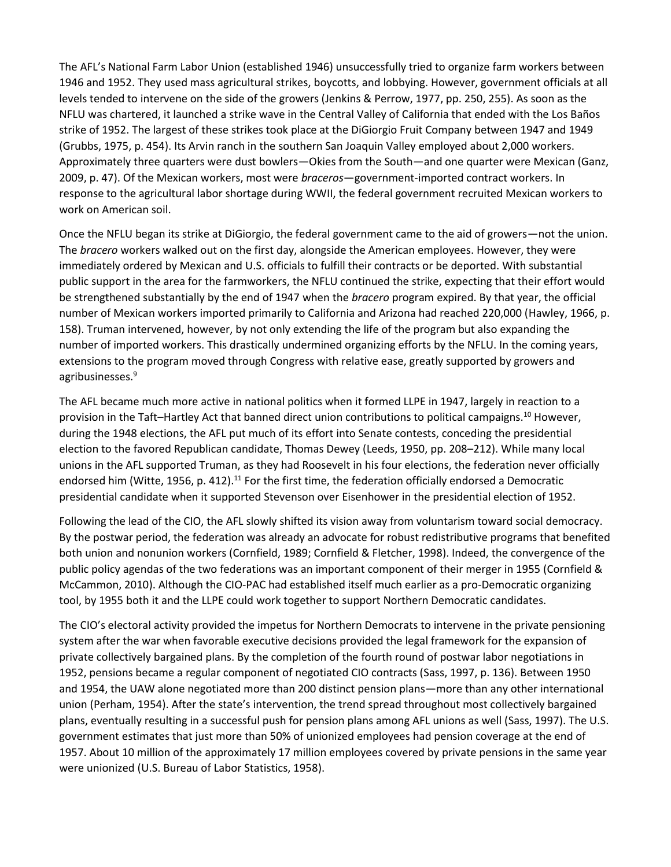The AFL's National Farm Labor Union (established 1946) unsuccessfully tried to organize farm workers between 1946 and 1952. They used mass agricultural strikes, boycotts, and lobbying. However, government officials at all levels tended to intervene on the side of the growers (Jenkins & Perrow, 1977, pp. 250, 255). As soon as the NFLU was chartered, it launched a strike wave in the Central Valley of California that ended with the Los Baños strike of 1952. The largest of these strikes took place at the DiGiorgio Fruit Company between 1947 and 1949 (Grubbs, 1975, p. 454). Its Arvin ranch in the southern San Joaquin Valley employed about 2,000 workers. Approximately three quarters were dust bowlers—Okies from the South—and one quarter were Mexican (Ganz, 2009, p. 47). Of the Mexican workers, most were *braceros*—government-imported contract workers. In response to the agricultural labor shortage during WWII, the federal government recruited Mexican workers to work on American soil.

Once the NFLU began its strike at DiGiorgio, the federal government came to the aid of growers—not the union. The *bracero* workers walked out on the first day, alongside the American employees. However, they were immediately ordered by Mexican and U.S. officials to fulfill their contracts or be deported. With substantial public support in the area for the farmworkers, the NFLU continued the strike, expecting that their effort would be strengthened substantially by the end of 1947 when the *bracero* program expired. By that year, the official number of Mexican workers imported primarily to California and Arizona had reached 220,000 (Hawley, 1966, p. 158). Truman intervened, however, by not only extending the life of the program but also expanding the number of imported workers. This drastically undermined organizing efforts by the NFLU. In the coming years, extensions to the program moved through Congress with relative ease, greatly supported by growers and agribusinesses.<sup>9</sup>

The AFL became much more active in national politics when it formed LLPE in 1947, largely in reaction to a provision in the Taft–Hartley Act that banned direct union contributions to political campaigns.<sup>10</sup> However, during the 1948 elections, the AFL put much of its effort into Senate contests, conceding the presidential election to the favored Republican candidate, Thomas Dewey (Leeds, 1950, pp. 208–212). While many local unions in the AFL supported Truman, as they had Roosevelt in his four elections, the federation never officially endorsed him (Witte, 1956, p. 412). $^{11}$  For the first time, the federation officially endorsed a Democratic presidential candidate when it supported Stevenson over Eisenhower in the presidential election of 1952.

Following the lead of the CIO, the AFL slowly shifted its vision away from voluntarism toward social democracy. By the postwar period, the federation was already an advocate for robust redistributive programs that benefited both union and nonunion workers (Cornfield, 1989; Cornfield & Fletcher, 1998). Indeed, the convergence of the public policy agendas of the two federations was an important component of their merger in 1955 (Cornfield & McCammon, 2010). Although the CIO-PAC had established itself much earlier as a pro-Democratic organizing tool, by 1955 both it and the LLPE could work together to support Northern Democratic candidates.

The CIO's electoral activity provided the impetus for Northern Democrats to intervene in the private pensioning system after the war when favorable executive decisions provided the legal framework for the expansion of private collectively bargained plans. By the completion of the fourth round of postwar labor negotiations in 1952, pensions became a regular component of negotiated CIO contracts (Sass, 1997, p. 136). Between 1950 and 1954, the UAW alone negotiated more than 200 distinct pension plans—more than any other international union (Perham, 1954). After the state's intervention, the trend spread throughout most collectively bargained plans, eventually resulting in a successful push for pension plans among AFL unions as well (Sass, 1997). The U.S. government estimates that just more than 50% of unionized employees had pension coverage at the end of 1957. About 10 million of the approximately 17 million employees covered by private pensions in the same year were unionized (U.S. Bureau of Labor Statistics, 1958).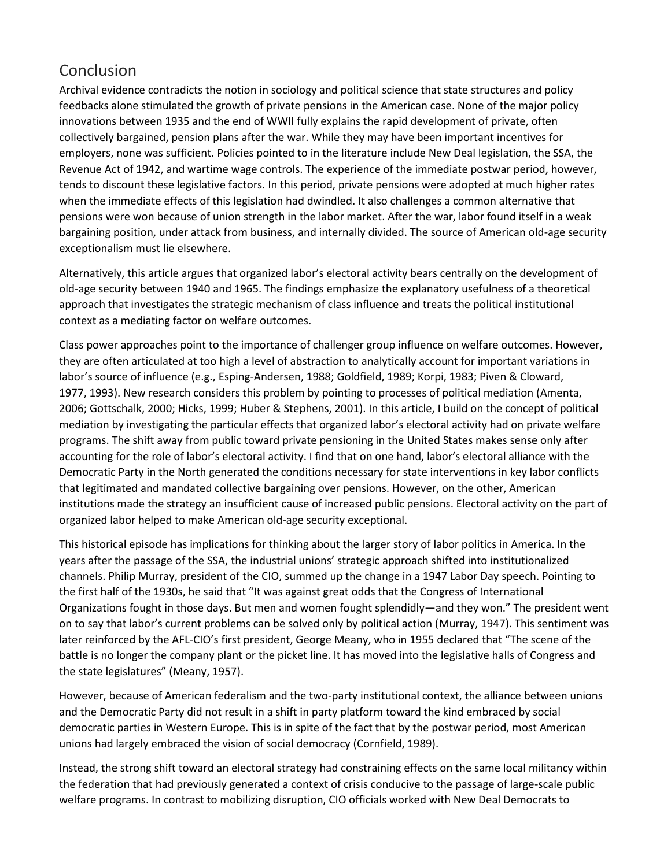## Conclusion

Archival evidence contradicts the notion in sociology and political science that state structures and policy feedbacks alone stimulated the growth of private pensions in the American case. None of the major policy innovations between 1935 and the end of WWII fully explains the rapid development of private, often collectively bargained, pension plans after the war. While they may have been important incentives for employers, none was sufficient. Policies pointed to in the literature include New Deal legislation, the SSA, the Revenue Act of 1942, and wartime wage controls. The experience of the immediate postwar period, however, tends to discount these legislative factors. In this period, private pensions were adopted at much higher rates when the immediate effects of this legislation had dwindled. It also challenges a common alternative that pensions were won because of union strength in the labor market. After the war, labor found itself in a weak bargaining position, under attack from business, and internally divided. The source of American old-age security exceptionalism must lie elsewhere.

Alternatively, this article argues that organized labor's electoral activity bears centrally on the development of old-age security between 1940 and 1965. The findings emphasize the explanatory usefulness of a theoretical approach that investigates the strategic mechanism of class influence and treats the political institutional context as a mediating factor on welfare outcomes.

Class power approaches point to the importance of challenger group influence on welfare outcomes. However, they are often articulated at too high a level of abstraction to analytically account for important variations in labor's source of influence (e.g., Esping-Andersen, 1988; Goldfield, 1989; Korpi, 1983; Piven & Cloward, 1977, 1993). New research considers this problem by pointing to processes of political mediation (Amenta, 2006; Gottschalk, 2000; Hicks, 1999; Huber & Stephens, 2001). In this article, I build on the concept of political mediation by investigating the particular effects that organized labor's electoral activity had on private welfare programs. The shift away from public toward private pensioning in the United States makes sense only after accounting for the role of labor's electoral activity. I find that on one hand, labor's electoral alliance with the Democratic Party in the North generated the conditions necessary for state interventions in key labor conflicts that legitimated and mandated collective bargaining over pensions. However, on the other, American institutions made the strategy an insufficient cause of increased public pensions. Electoral activity on the part of organized labor helped to make American old-age security exceptional.

This historical episode has implications for thinking about the larger story of labor politics in America. In the years after the passage of the SSA, the industrial unions' strategic approach shifted into institutionalized channels. Philip Murray, president of the CIO, summed up the change in a 1947 Labor Day speech. Pointing to the first half of the 1930s, he said that "It was against great odds that the Congress of International Organizations fought in those days. But men and women fought splendidly—and they won." The president went on to say that labor's current problems can be solved only by political action (Murray, 1947). This sentiment was later reinforced by the AFL-CIO's first president, George Meany, who in 1955 declared that "The scene of the battle is no longer the company plant or the picket line. It has moved into the legislative halls of Congress and the state legislatures" (Meany, 1957).

However, because of American federalism and the two-party institutional context, the alliance between unions and the Democratic Party did not result in a shift in party platform toward the kind embraced by social democratic parties in Western Europe. This is in spite of the fact that by the postwar period, most American unions had largely embraced the vision of social democracy (Cornfield, 1989).

Instead, the strong shift toward an electoral strategy had constraining effects on the same local militancy within the federation that had previously generated a context of crisis conducive to the passage of large-scale public welfare programs. In contrast to mobilizing disruption, CIO officials worked with New Deal Democrats to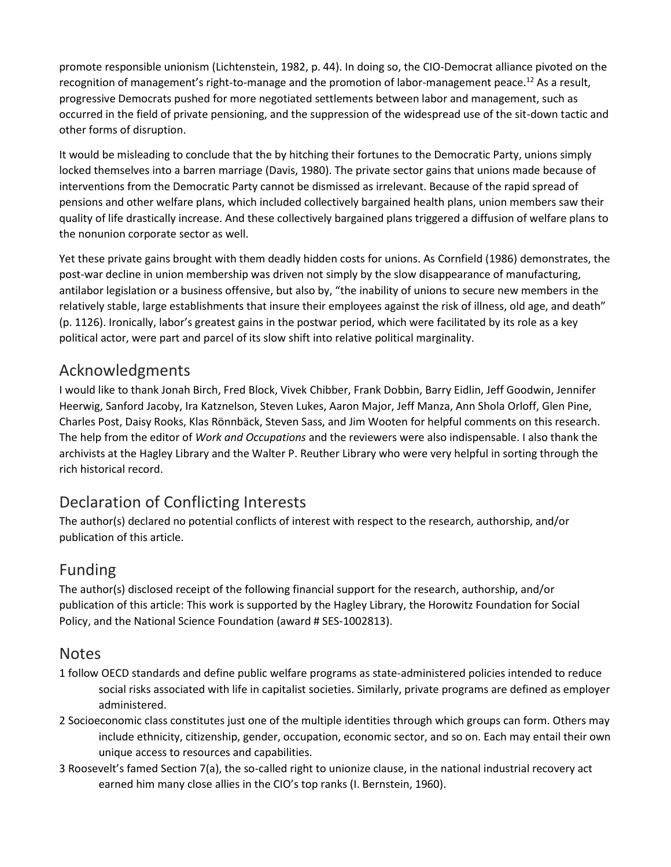promote responsible unionism (Lichtenstein, 1982, p. 44). In doing so, the CIO-Democrat alliance pivoted on the recognition of management's right-to-manage and the promotion of labor-management peace.<sup>12</sup> As a result, progressive Democrats pushed for more negotiated settlements between labor and management, such as occurred in the field of private pensioning, and the suppression of the widespread use of the sit-down tactic and other forms of disruption.

It would be misleading to conclude that the by hitching their fortunes to the Democratic Party, unions simply locked themselves into a barren marriage (Davis, 1980). The private sector gains that unions made because of interventions from the Democratic Party cannot be dismissed as irrelevant. Because of the rapid spread of pensions and other welfare plans, which included collectively bargained health plans, union members saw their quality of life drastically increase. And these collectively bargained plans triggered a diffusion of welfare plans to the nonunion corporate sector as well.

Yet these private gains brought with them deadly hidden costs for unions. As Cornfield (1986) demonstrates, the post-war decline in union membership was driven not simply by the slow disappearance of manufacturing, antilabor legislation or a business offensive, but also by, "the inability of unions to secure new members in the relatively stable, large establishments that insure their employees against the risk of illness, old age, and death" (p. 1126). Ironically, labor's greatest gains in the postwar period, which were facilitated by its role as a key political actor, were part and parcel of its slow shift into relative political marginality.

### Acknowledgments

I would like to thank Jonah Birch, Fred Block, Vivek Chibber, Frank Dobbin, Barry Eidlin, Jeff Goodwin, Jennifer Heerwig, Sanford Jacoby, Ira Katznelson, Steven Lukes, Aaron Major, Jeff Manza, Ann Shola Orloff, Glen Pine, Charles Post, Daisy Rooks, Klas Rönnbäck, Steven Sass, and Jim Wooten for helpful comments on this research. The help from the editor of *Work and Occupations* and the reviewers were also indispensable. I also thank the archivists at the Hagley Library and the Walter P. Reuther Library who were very helpful in sorting through the rich historical record.

# Declaration of Conflicting Interests

The author(s) declared no potential conflicts of interest with respect to the research, authorship, and/or publication of this article.

### Funding

The author(s) disclosed receipt of the following financial support for the research, authorship, and/or publication of this article: This work is supported by the Hagley Library, the Horowitz Foundation for Social Policy, and the National Science Foundation (award # SES-1002813).

### **Notes**

- 1 follow OECD standards and define public welfare programs as state-administered policies intended to reduce social risks associated with life in capitalist societies. Similarly, private programs are defined as employer administered.
- 2 Socioeconomic class constitutes just one of the multiple identities through which groups can form. Others may include ethnicity, citizenship, gender, occupation, economic sector, and so on. Each may entail their own unique access to resources and capabilities.
- 3 Roosevelt's famed Section 7(a), the so-called right to unionize clause, in the national industrial recovery act earned him many close allies in the CIO's top ranks (I. Bernstein, 1960).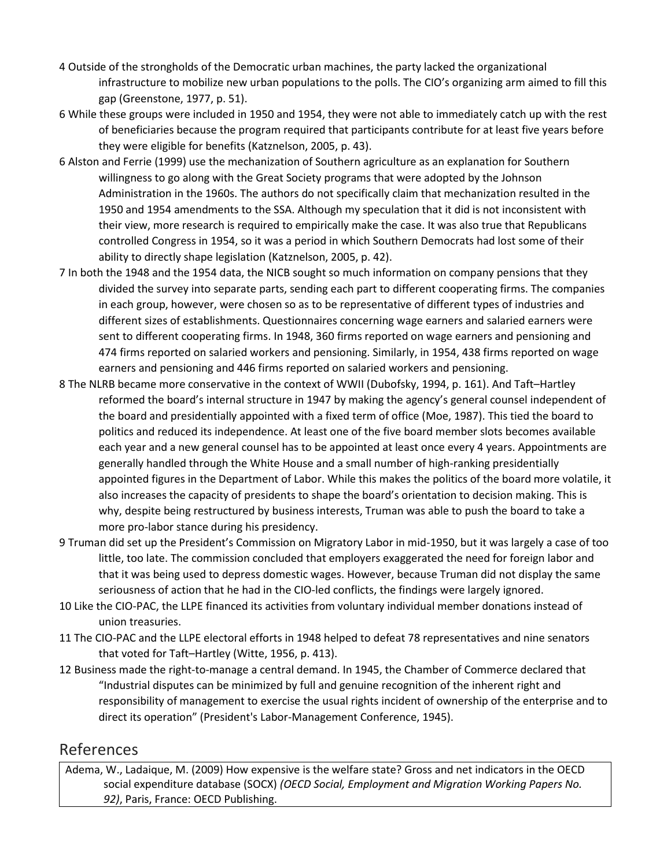- 4 Outside of the strongholds of the Democratic urban machines, the party lacked the organizational infrastructure to mobilize new urban populations to the polls. The CIO's organizing arm aimed to fill this gap (Greenstone, 1977, p. 51).
- 6 While these groups were included in 1950 and 1954, they were not able to immediately catch up with the rest of beneficiaries because the program required that participants contribute for at least five years before they were eligible for benefits (Katznelson, 2005, p. 43).
- 6 Alston and Ferrie (1999) use the mechanization of Southern agriculture as an explanation for Southern willingness to go along with the Great Society programs that were adopted by the Johnson Administration in the 1960s. The authors do not specifically claim that mechanization resulted in the 1950 and 1954 amendments to the SSA. Although my speculation that it did is not inconsistent with their view, more research is required to empirically make the case. It was also true that Republicans controlled Congress in 1954, so it was a period in which Southern Democrats had lost some of their ability to directly shape legislation (Katznelson, 2005, p. 42).
- 7 In both the 1948 and the 1954 data, the NICB sought so much information on company pensions that they divided the survey into separate parts, sending each part to different cooperating firms. The companies in each group, however, were chosen so as to be representative of different types of industries and different sizes of establishments. Questionnaires concerning wage earners and salaried earners were sent to different cooperating firms. In 1948, 360 firms reported on wage earners and pensioning and 474 firms reported on salaried workers and pensioning. Similarly, in 1954, 438 firms reported on wage earners and pensioning and 446 firms reported on salaried workers and pensioning.
- 8 The NLRB became more conservative in the context of WWII (Dubofsky, 1994, p. 161). And Taft–Hartley reformed the board's internal structure in 1947 by making the agency's general counsel independent of the board and presidentially appointed with a fixed term of office (Moe, 1987). This tied the board to politics and reduced its independence. At least one of the five board member slots becomes available each year and a new general counsel has to be appointed at least once every 4 years. Appointments are generally handled through the White House and a small number of high-ranking presidentially appointed figures in the Department of Labor. While this makes the politics of the board more volatile, it also increases the capacity of presidents to shape the board's orientation to decision making. This is why, despite being restructured by business interests, Truman was able to push the board to take a more pro-labor stance during his presidency.
- 9 Truman did set up the President's Commission on Migratory Labor in mid-1950, but it was largely a case of too little, too late. The commission concluded that employers exaggerated the need for foreign labor and that it was being used to depress domestic wages. However, because Truman did not display the same seriousness of action that he had in the CIO-led conflicts, the findings were largely ignored.
- 10 Like the CIO-PAC, the LLPE financed its activities from voluntary individual member donations instead of union treasuries.
- 11 The CIO-PAC and the LLPE electoral efforts in 1948 helped to defeat 78 representatives and nine senators that voted for Taft–Hartley (Witte, 1956, p. 413).
- 12 Business made the right-to-manage a central demand. In 1945, the Chamber of Commerce declared that "Industrial disputes can be minimized by full and genuine recognition of the inherent right and responsibility of management to exercise the usual rights incident of ownership of the enterprise and to direct its operation" (President's Labor-Management Conference, 1945).

#### References

Adema, W., Ladaique, M. (2009) How expensive is the welfare state? Gross and net indicators in the OECD social expenditure database (SOCX) *(OECD Social, Employment and Migration Working Papers No. 92)*, Paris, France: OECD Publishing.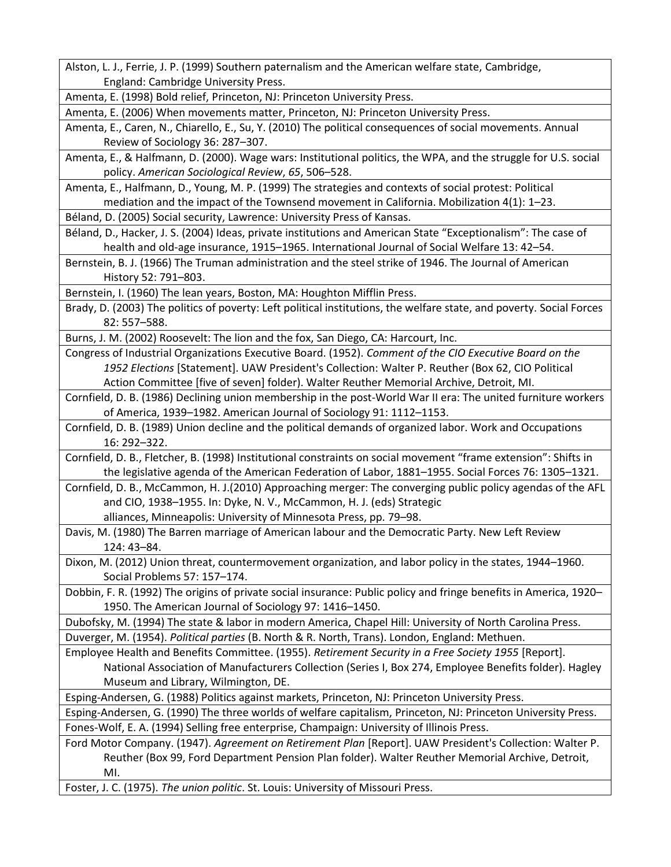Alston, L. J., Ferrie, J. P. (1999) Southern paternalism and the American welfare state, Cambridge, England: Cambridge University Press.

Amenta, E. (1998) Bold relief, Princeton, NJ: Princeton University Press.

Amenta, E. (2006) When movements matter, Princeton, NJ: Princeton University Press.

- Amenta, E., Caren, N., Chiarello, E., Su, Y. (2010) The political consequences of social movements. Annual Review of Sociology 36: 287–307.
- Amenta, E., & Halfmann, D. (2000). Wage wars: Institutional politics, the WPA, and the struggle for U.S. social policy. *American Sociological Review*, *65*, 506–528.

Amenta, E., Halfmann, D., Young, M. P. (1999) The strategies and contexts of social protest: Political mediation and the impact of the Townsend movement in California. Mobilization 4(1): 1–23.

Béland, D. (2005) Social security, Lawrence: University Press of Kansas.

Béland, D., Hacker, J. S. (2004) Ideas, private institutions and American State "Exceptionalism": The case of health and old-age insurance, 1915–1965. International Journal of Social Welfare 13: 42–54.

Bernstein, B. J. (1966) The Truman administration and the steel strike of 1946. The Journal of American History 52: 791–803.

Bernstein, I. (1960) The lean years, Boston, MA: Houghton Mifflin Press.

Brady, D. (2003) The politics of poverty: Left political institutions, the welfare state, and poverty. Social Forces 82: 557–588.

Burns, J. M. (2002) Roosevelt: The lion and the fox, San Diego, CA: Harcourt, Inc.

Congress of Industrial Organizations Executive Board. (1952). *Comment of the CIO Executive Board on the 1952 Elections* [Statement]. UAW President's Collection: Walter P. Reuther (Box 62, CIO Political Action Committee [five of seven] folder). Walter Reuther Memorial Archive, Detroit, MI.

Cornfield, D. B. (1986) Declining union membership in the post-World War II era: The united furniture workers of America, 1939–1982. American Journal of Sociology 91: 1112–1153.

Cornfield, D. B. (1989) Union decline and the political demands of organized labor. Work and Occupations 16: 292–322.

Cornfield, D. B., Fletcher, B. (1998) Institutional constraints on social movement "frame extension": Shifts in the legislative agenda of the American Federation of Labor, 1881–1955. Social Forces 76: 1305–1321.

Cornfield, D. B., McCammon, H. J.(2010) Approaching merger: The converging public policy agendas of the AFL and CIO, 1938–1955. In: Dyke, N. V., McCammon, H. J. (eds) Strategic

alliances, Minneapolis: University of Minnesota Press, pp. 79–98.

Davis, M. (1980) The Barren marriage of American labour and the Democratic Party. New Left Review 124: 43–84.

Dixon, M. (2012) Union threat, countermovement organization, and labor policy in the states, 1944–1960. Social Problems 57: 157–174.

Dobbin, F. R. (1992) The origins of private social insurance: Public policy and fringe benefits in America, 1920– 1950. The American Journal of Sociology 97: 1416–1450.

Dubofsky, M. (1994) The state & labor in modern America, Chapel Hill: University of North Carolina Press.

Duverger, M. (1954). *Political parties* (B. North & R. North, Trans). London, England: Methuen.

Employee Health and Benefits Committee. (1955). *Retirement Security in a Free Society 1955* [Report]. National Association of Manufacturers Collection (Series I, Box 274, Employee Benefits folder). Hagley Museum and Library, Wilmington, DE.

Esping-Andersen, G. (1988) Politics against markets, Princeton, NJ: Princeton University Press.

Esping-Andersen, G. (1990) The three worlds of welfare capitalism, Princeton, NJ: Princeton University Press.

Fones-Wolf, E. A. (1994) Selling free enterprise, Champaign: University of Illinois Press.

Ford Motor Company. (1947). *Agreement on Retirement Plan* [Report]. UAW President's Collection: Walter P. Reuther (Box 99, Ford Department Pension Plan folder). Walter Reuther Memorial Archive, Detroit, MI.

Foster, J. C. (1975). *The union politic*. St. Louis: University of Missouri Press.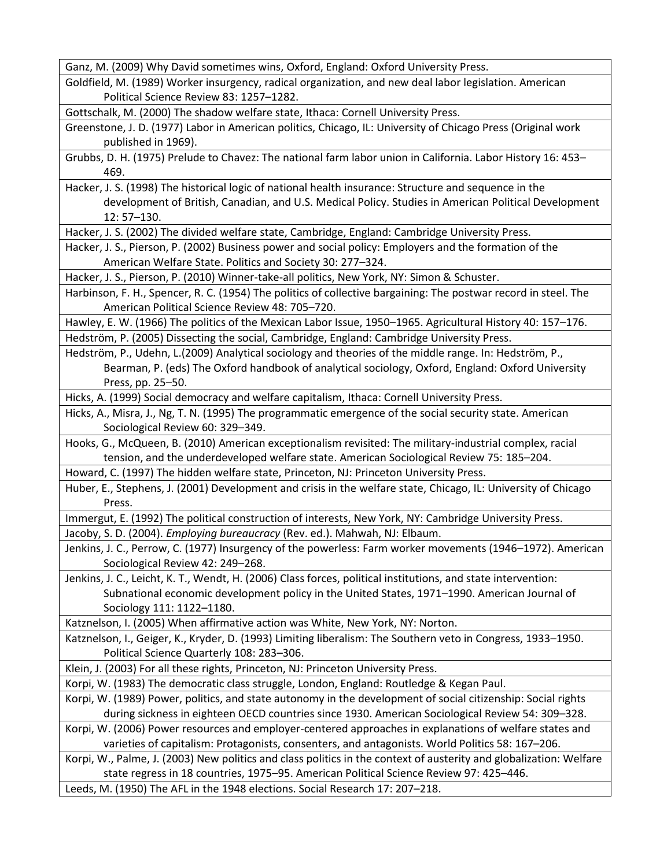Ganz, M. (2009) Why David sometimes wins, Oxford, England: Oxford University Press.

Goldfield, M. (1989) Worker insurgency, radical organization, and new deal labor legislation. American Political Science Review 83: 1257–1282.

Gottschalk, M. (2000) The shadow welfare state, Ithaca: Cornell University Press.

Greenstone, J. D. (1977) Labor in American politics, Chicago, IL: University of Chicago Press (Original work published in 1969).

Grubbs, D. H. (1975) Prelude to Chavez: The national farm labor union in California. Labor History 16: 453– 469.

Hacker, J. S. (1998) The historical logic of national health insurance: Structure and sequence in the development of British, Canadian, and U.S. Medical Policy. Studies in American Political Development 12: 57–130.

Hacker, J. S. (2002) The divided welfare state, Cambridge, England: Cambridge University Press.

Hacker, J. S., Pierson, P. (2002) Business power and social policy: Employers and the formation of the American Welfare State. Politics and Society 30: 277–324.

Hacker, J. S., Pierson, P. (2010) Winner-take-all politics, New York, NY: Simon & Schuster.

Harbinson, F. H., Spencer, R. C. (1954) The politics of collective bargaining: The postwar record in steel. The American Political Science Review 48: 705–720.

Hawley, E. W. (1966) The politics of the Mexican Labor Issue, 1950–1965. Agricultural History 40: 157–176.

Hedström, P. (2005) Dissecting the social, Cambridge, England: Cambridge University Press.

Hedström, P., Udehn, L.(2009) Analytical sociology and theories of the middle range. In: Hedström, P., Bearman, P. (eds) The Oxford handbook of analytical sociology, Oxford, England: Oxford University Press, pp. 25–50.

Hicks, A. (1999) Social democracy and welfare capitalism, Ithaca: Cornell University Press.

Hicks, A., Misra, J., Ng, T. N. (1995) The programmatic emergence of the social security state. American Sociological Review 60: 329–349.

Hooks, G., McQueen, B. (2010) American exceptionalism revisited: The military-industrial complex, racial tension, and the underdeveloped welfare state. American Sociological Review 75: 185–204.

Howard, C. (1997) The hidden welfare state, Princeton, NJ: Princeton University Press.

Huber, E., Stephens, J. (2001) Development and crisis in the welfare state, Chicago, IL: University of Chicago Press.

Immergut, E. (1992) The political construction of interests, New York, NY: Cambridge University Press.

Jacoby, S. D. (2004). *Employing bureaucracy* (Rev. ed.). Mahwah, NJ: Elbaum.

Jenkins, J. C., Perrow, C. (1977) Insurgency of the powerless: Farm worker movements (1946–1972). American Sociological Review 42: 249–268.

Jenkins, J. C., Leicht, K. T., Wendt, H. (2006) Class forces, political institutions, and state intervention: Subnational economic development policy in the United States, 1971–1990. American Journal of Sociology 111: 1122–1180.

Katznelson, I. (2005) When affirmative action was White, New York, NY: Norton.

Katznelson, I., Geiger, K., Kryder, D. (1993) Limiting liberalism: The Southern veto in Congress, 1933–1950. Political Science Quarterly 108: 283–306.

Klein, J. (2003) For all these rights, Princeton, NJ: Princeton University Press.

Korpi, W. (1983) The democratic class struggle, London, England: Routledge & Kegan Paul.

Korpi, W. (1989) Power, politics, and state autonomy in the development of social citizenship: Social rights during sickness in eighteen OECD countries since 1930. American Sociological Review 54: 309–328.

Korpi, W. (2006) Power resources and employer-centered approaches in explanations of welfare states and varieties of capitalism: Protagonists, consenters, and antagonists. World Politics 58: 167–206.

Korpi, W., Palme, J. (2003) New politics and class politics in the context of austerity and globalization: Welfare state regress in 18 countries, 1975–95. American Political Science Review 97: 425–446.

Leeds, M. (1950) The AFL in the 1948 elections. Social Research 17: 207–218.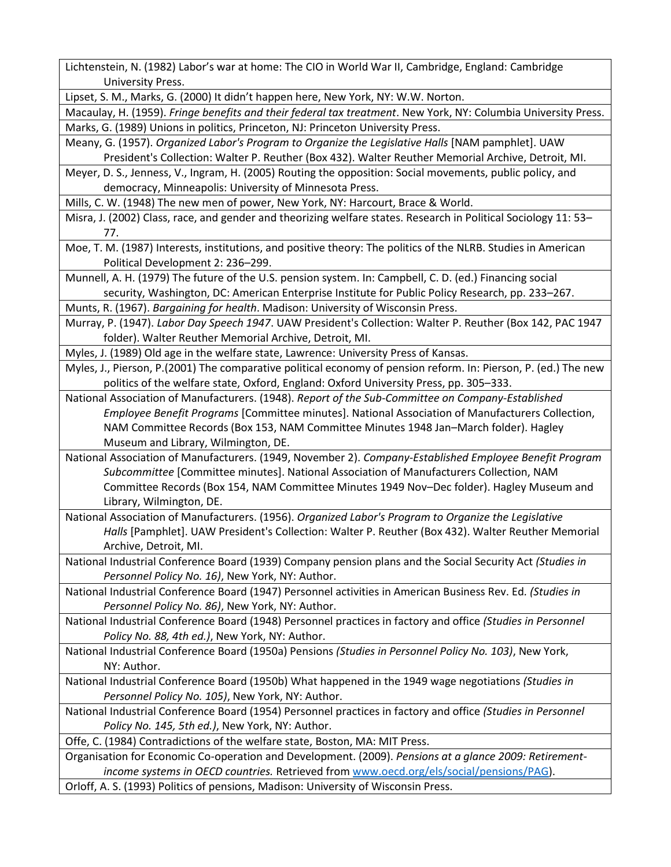Lichtenstein, N. (1982) Labor's war at home: The CIO in World War II, Cambridge, England: Cambridge University Press.

Lipset, S. M., Marks, G. (2000) It didn't happen here, New York, NY: W.W. Norton.

Macaulay, H. (1959). *Fringe benefits and their federal tax treatment*. New York, NY: Columbia University Press. Marks, G. (1989) Unions in politics, Princeton, NJ: Princeton University Press.

Meany, G. (1957). *Organized Labor's Program to Organize the Legislative Halls* [NAM pamphlet]. UAW President's Collection: Walter P. Reuther (Box 432). Walter Reuther Memorial Archive, Detroit, MI.

Meyer, D. S., Jenness, V., Ingram, H. (2005) Routing the opposition: Social movements, public policy, and democracy, Minneapolis: University of Minnesota Press.

Mills, C. W. (1948) The new men of power, New York, NY: Harcourt, Brace & World.

Misra, J. (2002) Class, race, and gender and theorizing welfare states. Research in Political Sociology 11: 53– 77.

Moe, T. M. (1987) Interests, institutions, and positive theory: The politics of the NLRB. Studies in American Political Development 2: 236–299.

Munnell, A. H. (1979) The future of the U.S. pension system. In: Campbell, C. D. (ed.) Financing social security, Washington, DC: American Enterprise Institute for Public Policy Research, pp. 233–267.

Munts, R. (1967). *Bargaining for health*. Madison: University of Wisconsin Press.

Murray, P. (1947). *Labor Day Speech 1947*. UAW President's Collection: Walter P. Reuther (Box 142, PAC 1947 folder). Walter Reuther Memorial Archive, Detroit, MI.

Myles, J. (1989) Old age in the welfare state, Lawrence: University Press of Kansas.

Myles, J., Pierson, P.(2001) The comparative political economy of pension reform. In: Pierson, P. (ed.) The new politics of the welfare state, Oxford, England: Oxford University Press, pp. 305–333.

National Association of Manufacturers. (1948). *Report of the Sub-Committee on Company-Established Employee Benefit Programs* [Committee minutes]. National Association of Manufacturers Collection, NAM Committee Records (Box 153, NAM Committee Minutes 1948 Jan–March folder). Hagley Museum and Library, Wilmington, DE.

National Association of Manufacturers. (1949, November 2). *Company-Established Employee Benefit Program Subcommittee* [Committee minutes]. National Association of Manufacturers Collection, NAM Committee Records (Box 154, NAM Committee Minutes 1949 Nov–Dec folder). Hagley Museum and Library, Wilmington, DE.

National Association of Manufacturers. (1956). *Organized Labor's Program to Organize the Legislative Halls* [Pamphlet]. UAW President's Collection: Walter P. Reuther (Box 432). Walter Reuther Memorial Archive, Detroit, MI.

National Industrial Conference Board (1939) Company pension plans and the Social Security Act *(Studies in Personnel Policy No. 16)*, New York, NY: Author.

National Industrial Conference Board (1947) Personnel activities in American Business Rev. Ed*. (Studies in Personnel Policy No. 86)*, New York, NY: Author.

National Industrial Conference Board (1948) Personnel practices in factory and office *(Studies in Personnel Policy No. 88, 4th ed.)*, New York, NY: Author.

National Industrial Conference Board (1950a) Pensions *(Studies in Personnel Policy No. 103)*, New York, NY: Author.

National Industrial Conference Board (1950b) What happened in the 1949 wage negotiations *(Studies in Personnel Policy No. 105)*, New York, NY: Author.

National Industrial Conference Board (1954) Personnel practices in factory and office *(Studies in Personnel Policy No. 145, 5th ed.)*, New York, NY: Author.

Offe, C. (1984) Contradictions of the welfare state, Boston, MA: MIT Press.

Organisation for Economic Co-operation and Development. (2009). *Pensions at a glance 2009: Retirementincome systems in OECD countries.* Retrieved from [www.oecd.org/els/social/pensions/PAG\)](http://www.oecd.org/els/social/pensions/PAG).

Orloff, A. S. (1993) Politics of pensions, Madison: University of Wisconsin Press.